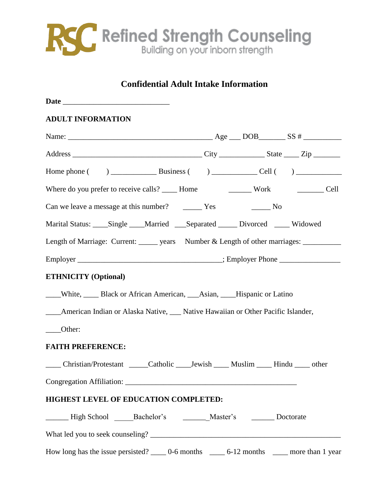

#### **Confidential Adult Intake Information**

| <b>ADULT INFORMATION</b>                                                                     |  |  |  |  |
|----------------------------------------------------------------------------------------------|--|--|--|--|
|                                                                                              |  |  |  |  |
|                                                                                              |  |  |  |  |
|                                                                                              |  |  |  |  |
| Where do you prefer to receive calls? _____ Home ___________ Work ____________ Cell          |  |  |  |  |
| Can we leave a message at this number?<br>Yes No                                             |  |  |  |  |
| Marital Status: ____Single ____Married ____Separated _____ Divorced _____ Widowed            |  |  |  |  |
| Length of Marriage: Current: ______ years Number & Length of other marriages: __________     |  |  |  |  |
|                                                                                              |  |  |  |  |
| <b>ETHNICITY (Optional)</b>                                                                  |  |  |  |  |
| ____White, ______ Black or African American, ____Asian, ____Hispanic or Latino               |  |  |  |  |
| ____American Indian or Alaska Native, ____ Native Hawaiian or Other Pacific Islander,        |  |  |  |  |
| ____Other:                                                                                   |  |  |  |  |
| <b>FAITH PREFERENCE:</b>                                                                     |  |  |  |  |
| _____ Christian/Protestant ______ Catholic _____Jewish _____ Muslim _____ Hindu _____ other  |  |  |  |  |
|                                                                                              |  |  |  |  |
| HIGHEST LEVEL OF EDUCATION COMPLETED:                                                        |  |  |  |  |
| Lackelor's Chapter's Chapter's Doctorate                                                     |  |  |  |  |
|                                                                                              |  |  |  |  |
| How long has the issue persisted? _____ 0-6 months ______ 6-12 months _____ more than 1 year |  |  |  |  |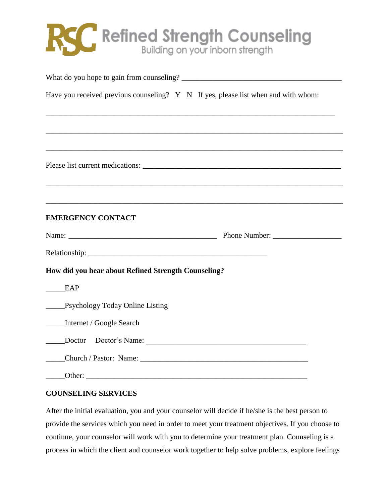## RSC Refined Strength Counseling

| Have you received previous counseling? Y N If yes, please list when and with whom: |                                                                                   |
|------------------------------------------------------------------------------------|-----------------------------------------------------------------------------------|
|                                                                                    | ,我们也不能在这里的时候,我们也不能在这里的时候,我们也不能会在这里的时候,我们也不能会在这里的时候,我们也不能会在这里的时候,我们也不能会在这里的时候,我们也不 |
|                                                                                    |                                                                                   |
|                                                                                    |                                                                                   |
|                                                                                    |                                                                                   |
|                                                                                    |                                                                                   |
| <b>EMERGENCY CONTACT</b>                                                           |                                                                                   |
|                                                                                    |                                                                                   |
|                                                                                    |                                                                                   |
| How did you hear about Refined Strength Counseling?                                |                                                                                   |
| EAP                                                                                |                                                                                   |
| <b>Example Psychology Today Online Listing</b>                                     |                                                                                   |
| Internet / Google Search                                                           |                                                                                   |
| Doctor Doctor's Name:                                                              |                                                                                   |
|                                                                                    |                                                                                   |
| Other:                                                                             |                                                                                   |

#### **COUNSELING SERVICES**

After the initial evaluation, you and your counselor will decide if he/she is the best person to provide the services which you need in order to meet your treatment objectives. If you choose to continue, your counselor will work with you to determine your treatment plan. Counseling is a process in which the client and counselor work together to help solve problems, explore feelings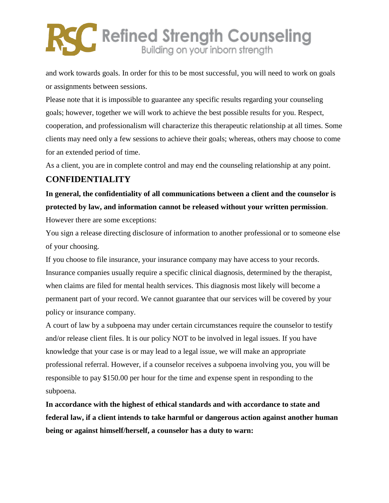# **SC** Refined Strength Counseling

and work towards goals. In order for this to be most successful, you will need to work on goals or assignments between sessions.

Please note that it is impossible to guarantee any specific results regarding your counseling goals; however, together we will work to achieve the best possible results for you. Respect, cooperation, and professionalism will characterize this therapeutic relationship at all times. Some clients may need only a few sessions to achieve their goals; whereas, others may choose to come for an extended period of time.

As a client, you are in complete control and may end the counseling relationship at any point.

#### **CONFIDENTIALITY**

**In general, the confidentiality of all communications between a client and the counselor is protected by law, and information cannot be released without your written permission**. However there are some exceptions:

You sign a release directing disclosure of information to another professional or to someone else of your choosing.

If you choose to file insurance, your insurance company may have access to your records. Insurance companies usually require a specific clinical diagnosis, determined by the therapist, when claims are filed for mental health services. This diagnosis most likely will become a permanent part of your record. We cannot guarantee that our services will be covered by your policy or insurance company.

A court of law by a subpoena may under certain circumstances require the counselor to testify and/or release client files. It is our policy NOT to be involved in legal issues. If you have knowledge that your case is or may lead to a legal issue, we will make an appropriate professional referral. However, if a counselor receives a subpoena involving you, you will be responsible to pay \$150.00 per hour for the time and expense spent in responding to the subpoena.

**In accordance with the highest of ethical standards and with accordance to state and federal law, if a client intends to take harmful or dangerous action against another human being or against himself/herself, a counselor has a duty to warn:**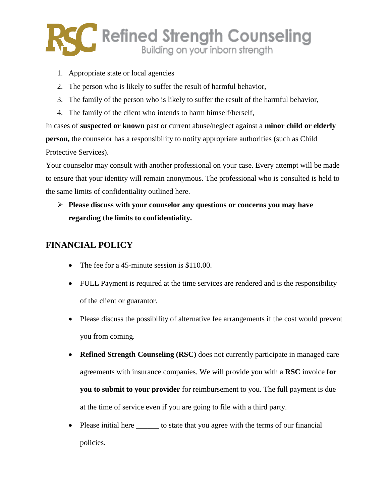

- 1. Appropriate state or local agencies
- 2. The person who is likely to suffer the result of harmful behavior,
- 3. The family of the person who is likely to suffer the result of the harmful behavior,
- 4. The family of the client who intends to harm himself/herself,

In cases of **suspected or known** past or current abuse/neglect against a **minor child or elderly person,** the counselor has a responsibility to notify appropriate authorities (such as Child Protective Services).

Your counselor may consult with another professional on your case. Every attempt will be made to ensure that your identity will remain anonymous. The professional who is consulted is held to the same limits of confidentiality outlined here.

 **Please discuss with your counselor any questions or concerns you may have regarding the limits to confidentiality.**

#### **FINANCIAL POLICY**

- The fee for a 45-minute session is \$110.00.
- FULL Payment is required at the time services are rendered and is the responsibility of the client or guarantor.
- Please discuss the possibility of alternative fee arrangements if the cost would prevent you from coming.
- **Refined Strength Counseling (RSC)** does not currently participate in managed care agreements with insurance companies. We will provide you with a **RSC** invoice **for you to submit to your provider** for reimbursement to you. The full payment is due at the time of service even if you are going to file with a third party.
- Please initial here \_\_\_\_\_\_\_ to state that you agree with the terms of our financial policies.